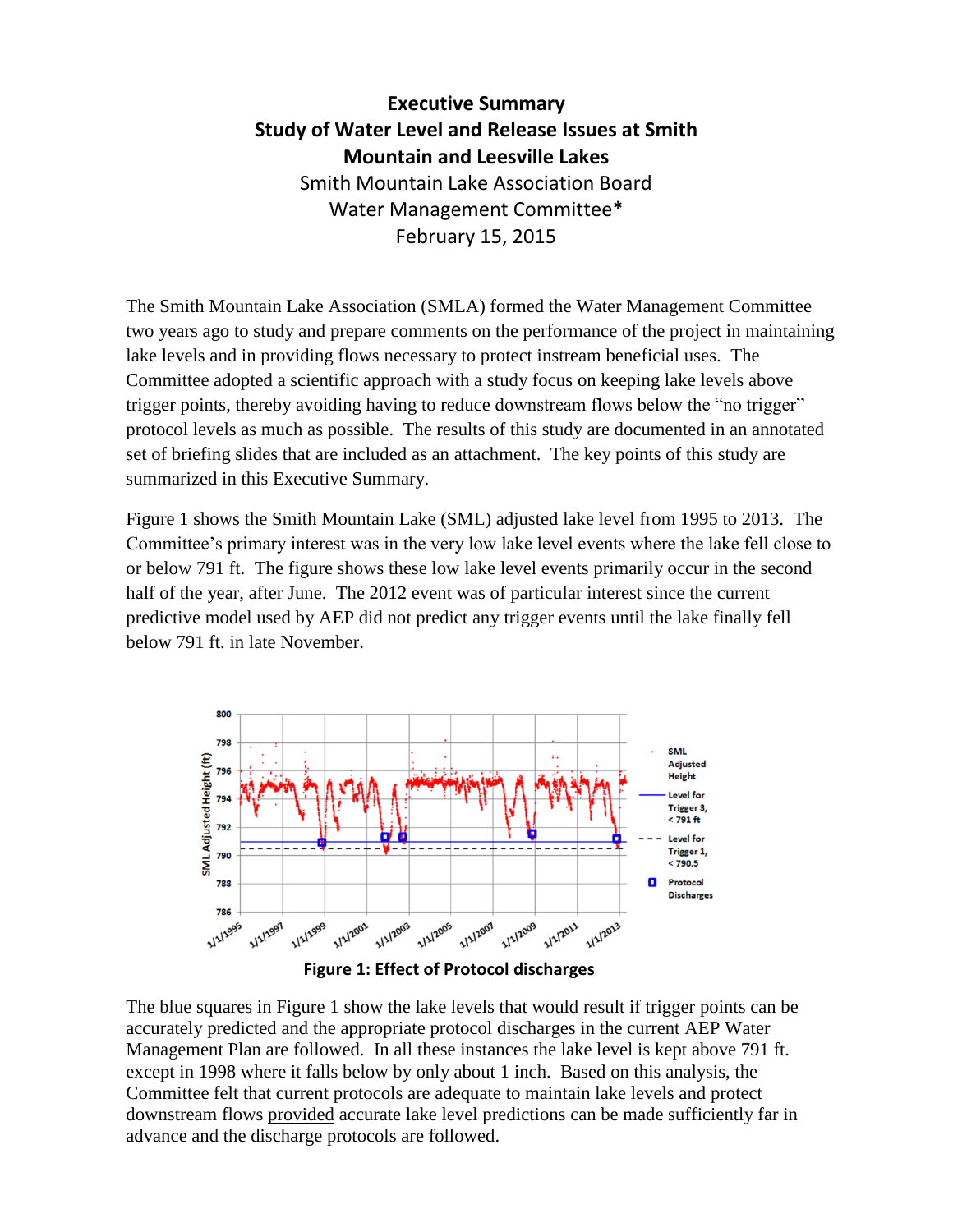## **Executive Summary Study of Water Level and Release Issues at Smith Mountain and Leesville Lakes** Smith Mountain Lake Association Board Water Management Committee\* February 15, 2015

The Smith Mountain Lake Association (SMLA) formed the Water Management Committee two years ago to study and prepare comments on the performance of the project in maintaining lake levels and in providing flows necessary to protect instream beneficial uses. The Committee adopted a scientific approach with a study focus on keeping lake levels above trigger points, thereby avoiding having to reduce downstream flows below the "no trigger" protocol levels as much as possible. The results of this study are documented in an annotated set of briefing slides that are included as an attachment. The key points of this study are summarized in this Executive Summary.

Figure 1 shows the Smith Mountain Lake (SML) adjusted lake level from 1995 to 2013. The Committee's primary interest was in the very low lake level events where the lake fell close to or below 791 ft. The figure shows these low lake level events primarily occur in the second half of the year, after June. The 2012 event was of particular interest since the current predictive model used by AEP did not predict any trigger events until the lake finally fell below 791 ft. in late November.





The blue squares in Figure 1 show the lake levels that would result if trigger points can be accurately predicted and the appropriate protocol discharges in the current AEP Water Management Plan are followed. In all these instances the lake level is kept above 791 ft. except in 1998 where it falls below by only about 1 inch. Based on this analysis, the Committee felt that current protocols are adequate to maintain lake levels and protect downstream flows provided accurate lake level predictions can be made sufficiently far in advance and the discharge protocols are followed.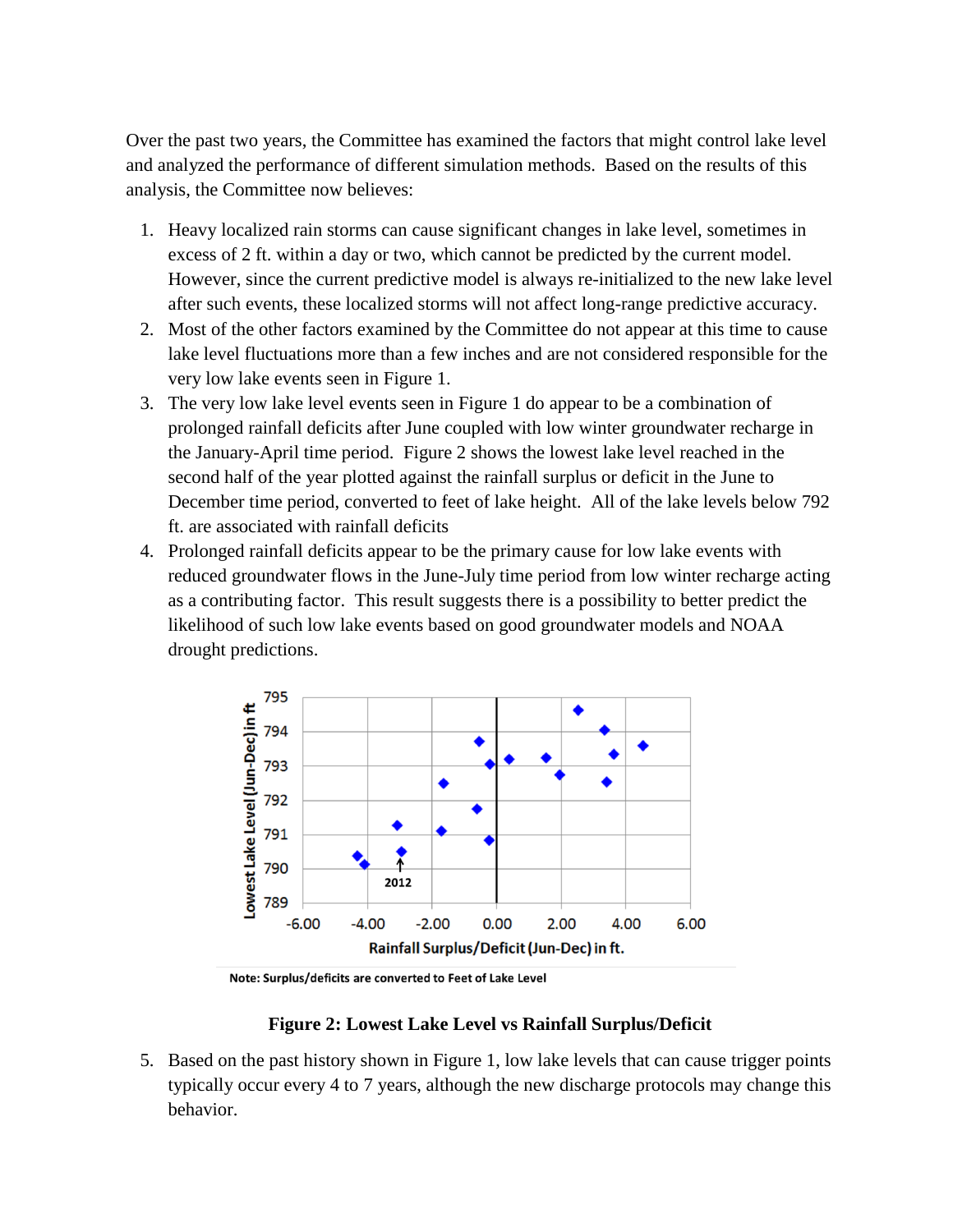Over the past two years, the Committee has examined the factors that might control lake level and analyzed the performance of different simulation methods. Based on the results of this analysis, the Committee now believes:

- 1. Heavy localized rain storms can cause significant changes in lake level, sometimes in excess of 2 ft. within a day or two, which cannot be predicted by the current model. However, since the current predictive model is always re-initialized to the new lake level after such events, these localized storms will not affect long-range predictive accuracy.
- 2. Most of the other factors examined by the Committee do not appear at this time to cause lake level fluctuations more than a few inches and are not considered responsible for the very low lake events seen in Figure 1.
- 3. The very low lake level events seen in Figure 1 do appear to be a combination of prolonged rainfall deficits after June coupled with low winter groundwater recharge in the January-April time period. Figure 2 shows the lowest lake level reached in the second half of the year plotted against the rainfall surplus or deficit in the June to December time period, converted to feet of lake height. All of the lake levels below 792 ft. are associated with rainfall deficits
- 4. Prolonged rainfall deficits appear to be the primary cause for low lake events with reduced groundwater flows in the June-July time period from low winter recharge acting as a contributing factor. This result suggests there is a possibility to better predict the likelihood of such low lake events based on good groundwater models and NOAA drought predictions.



Note: Surplus/deficits are converted to Feet of Lake Level

## **Figure 2: Lowest Lake Level vs Rainfall Surplus/Deficit**

5. Based on the past history shown in Figure 1, low lake levels that can cause trigger points typically occur every 4 to 7 years, although the new discharge protocols may change this behavior.